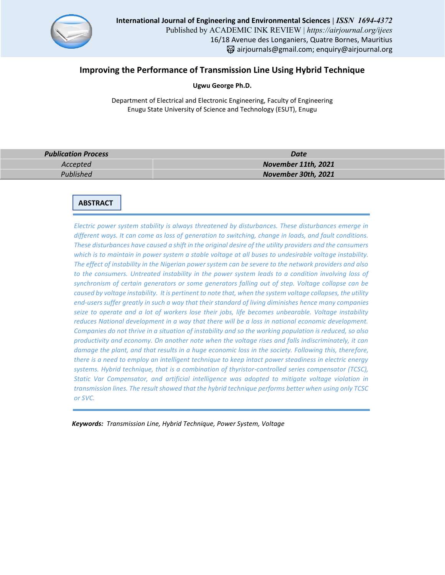

# **Improving the Performance of Transmission Line Using Hybrid Technique**

**Ugwu George Ph.D.**

Department of Electrical and Electronic Engineering, Faculty of Engineering Enugu State University of Science and Technology (ESUT), Enugu

| <b>Publication Process</b> | <b>Date</b>         |
|----------------------------|---------------------|
| Accepted                   | November 11th, 2021 |
| Published                  | November 30th, 2021 |

## **ABSTRACT**

*Electric power system stability is always threatened by disturbances. These disturbances emerge in different ways. It can come as loss of generation to switching, change in loads, and fault conditions. These disturbances have caused a shift in the original desire of the utility providers and the consumers which is to maintain in power system a stable voltage at all buses to undesirable voltage instability. The effect of instability in the Nigerian power system can be severe to the network providers and also to the consumers. Untreated instability in the power system leads to a condition involving loss of synchronism of certain generators or some generators falling out of step. Voltage collapse can be caused by voltage instability. It is pertinent to note that, when the system voltage collapses, the utility end-users suffer greatly in such a way that their standard of living diminishes hence many companies seize to operate and a lot of workers lose their jobs, life becomes unbearable. Voltage instability reduces National development in a way that there will be a loss in national economic development. Companies do not thrive in a situation of instability and so the working population is reduced, so also productivity and economy. On another note when the voltage rises and falls indiscriminately, it can damage the plant, and that results in a huge economic loss in the society. Following this, therefore, there is a need to employ an intelligent technique to keep intact power steadiness in electric energy systems. Hybrid technique, that is a combination of thyristor-controlled series compensator (TCSC), Static Var Compensator, and artificial intelligence was adopted to mitigate voltage violation in transmission lines. The result showed that the hybrid technique performs better when using only TCSC or SVC.*

*Keywords: Transmission Line, Hybrid Technique, Power System, Voltage*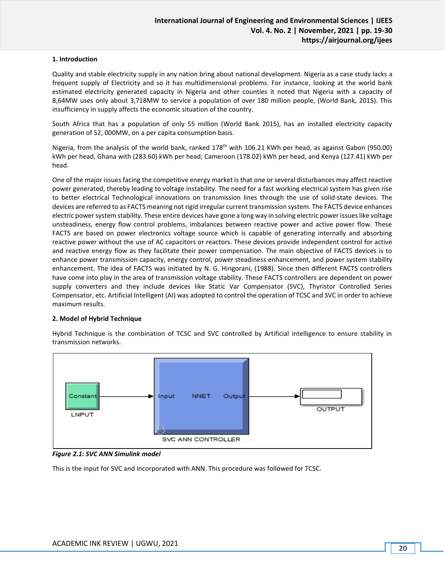#### **1. Introduction**

Quality and stable electricity supply in any nation bring about national development. Nigeria as a case study lacks a frequent supply of Electricity and so it has multidimensional problems. For instance, looking at the world bank estimated electricity generated capacity in Nigeria and other counties it noted that Nigeria with a capacity of 8,64MW uses only about 3,718MW to service a population of over 180 million people, (World Bank, 2015). This insufficiency in supply affects the economic situation of the country.

South Africa that has a population of only 55 million (World Bank 2015), has an installed electricity capacity generation of 52, 000MW, on a per capita consumption basis.

Nigeria, from the analysis of the world bank, ranked 178<sup>th</sup> with 106.21 KWh per head, as against Gabon (950.00) kWh per head, Ghana with (283.60) kWh per head; Cameroon (178.02) kWh per head, and Kenya (127.41) kWh per head.

One of the major issues facing the competitive energy market is that one or several disturbances may affect reactive power generated, thereby leading to voltage instability. The need for a fast working electrical system has given rise to better electrical Technological innovations on transmission lines through the use of solid-state devices. The devices are referred to as FACTS meaning not rigid irregular current transmission system. The FACTS device enhances electric power system stability. These entire devices have gone a long way in solving electric power issues like voltage unsteadiness, energy flow control problems, imbalances between reactive power and active power flow. These FACTS are based on power electronics voltage source which is capable of generating internally and absorbing reactive power without the use of AC capacitors or reactors. These devices provide independent control for active and reactive energy flow as they facilitate their power compensation. The main objective of FACTS devices is to enhance power transmission capacity, energy control, power steadiness enhancement, and power system stability enhancement. The idea of FACTS was initiated by N. G. Hingorani, (1988). Since then different FACTS controllers have come into play in the area of transmission voltage stability. These FACTS controllers are dependent on power supply converters and they include devices like Static Var Compensator (SVC), Thyristor Controlled Series Compensator, etc. Artificial Intelligent (AI) was adopted to control the operation of TCSC and SVC in order to achieve maximum results.

#### **2. Model of Hybrid Technique**

Hybrid Technique is the combination of TCSC and SVC controlled by Artificial intelligence to ensure stability in transmission networks.



*Figure 2.1: SVC ANN Simulink model*

This is the input for SVC and incorporated with ANN. This procedure was followed for TCSC.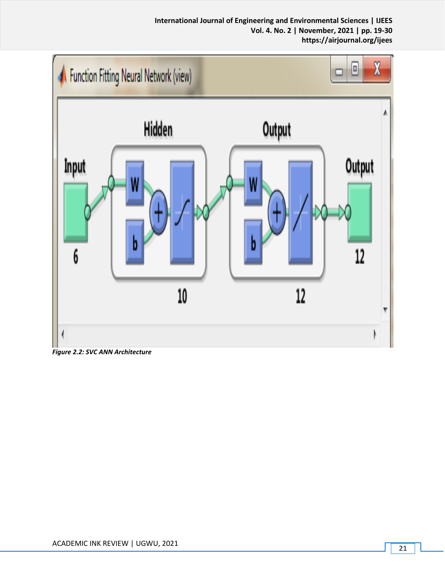**International Journal of Engineering and Environmental Sciences | IJEES Vol. 4. No. 2 | November, 2021 | pp. 19-30 https://airjournal.org/ijees**



*Figure 2.2: SVC ANN Architecture*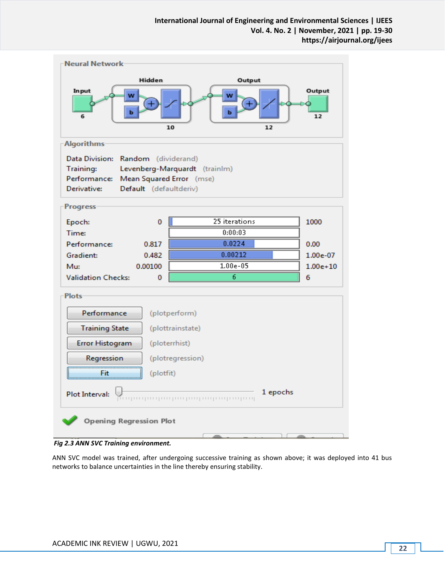

*Fig 2.3 ANN SVC Training environment.* 

ANN SVC model was trained, after undergoing successive training as shown above; it was deployed into 41 bus networks to balance uncertainties in the line thereby ensuring stability.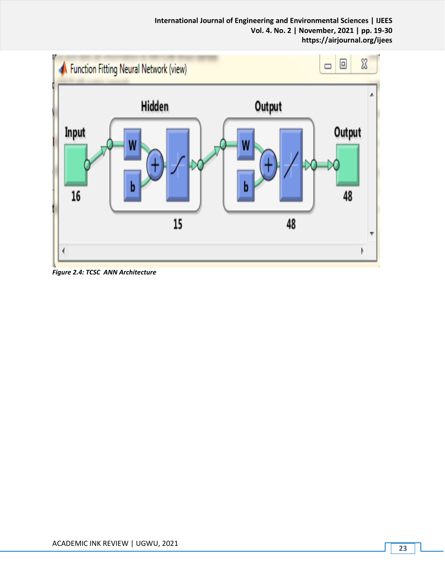**International Journal of Engineering and Environmental Sciences | IJEES Vol. 4. No. 2 | November, 2021 | pp. 19-30 https://airjournal.org/ijees**



*Figure 2.4: TCSC ANN Architecture*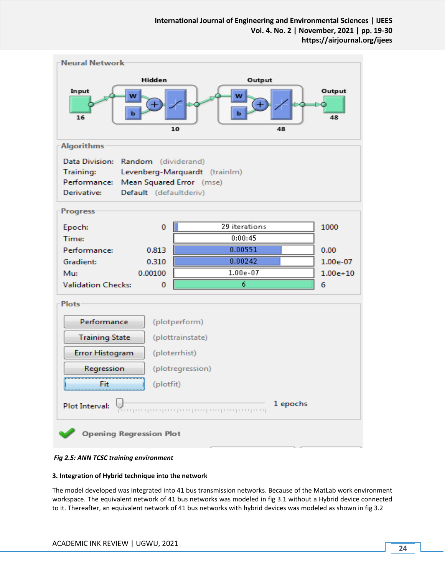

*Fig 2.5: ANN TCSC training environment*

#### **3. Integration of Hybrid technique into the network**

The model developed was integrated into 41 bus transmission networks. Because of the MatLab work environment workspace. The equivalent network of 41 bus networks was modeled in fig 3.1 without a Hybrid device connected to it. Thereafter, an equivalent network of 41 bus networks with hybrid devices was modeled as shown in fig 3.2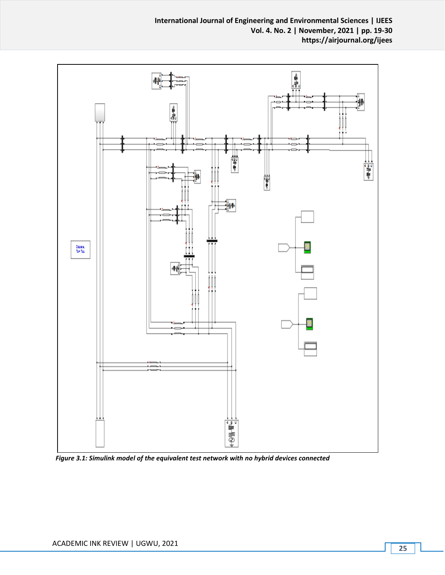

*Figure 3.1: Simulink model of the equivalent test network with no hybrid devices connected*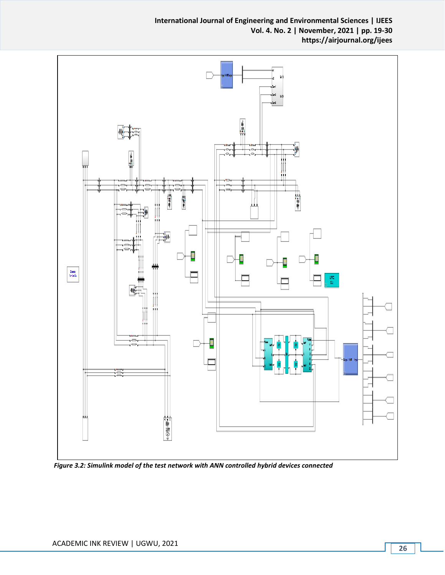

*Figure 3.2: Simulink model of the test network with ANN controlled hybrid devices connected*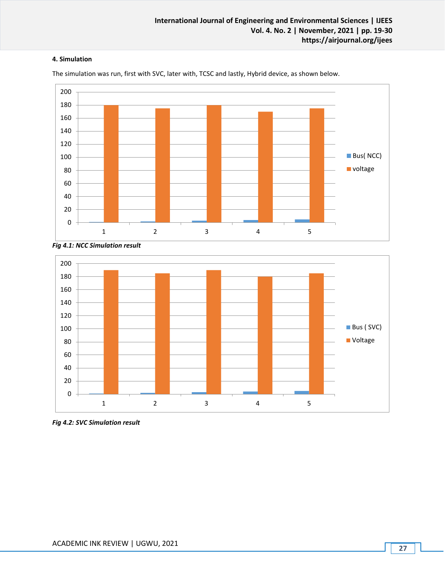## **4. Simulation**



The simulation was run, first with SVC, later with, TCSC and lastly, Hybrid device, as shown below.





*Fig 4.2: SVC Simulation result*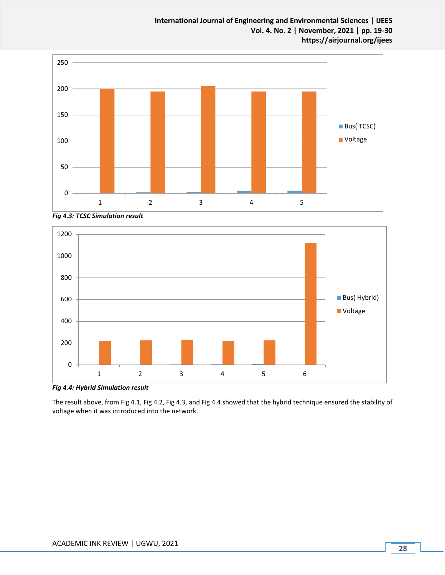

*Fig 4.3: TCSC Simulation result*



*Fig 4.4: Hybrid Simulation result*

The result above, from Fig 4.1, Fig 4.2, Fig 4.3, and Fig 4.4 showed that the hybrid technique ensured the stability of voltage when it was introduced into the network.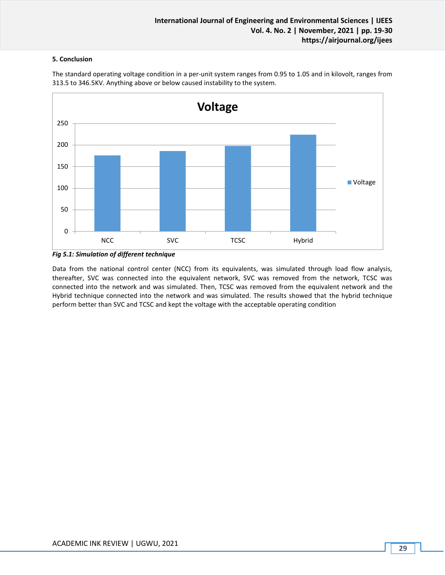## **5. Conclusion**



The standard operating voltage condition in a per-unit system ranges from 0.95 to 1.05 and in kilovolt, ranges from 313.5 to 346.5KV. Anything above or below caused instability to the system.

Data from the national control center (NCC) from its equivalents, was simulated through load flow analysis, thereafter, SVC was connected into the equivalent network, SVC was removed from the network, TCSC was connected into the network and was simulated. Then, TCSC was removed from the equivalent network and the Hybrid technique connected into the network and was simulated. The results showed that the hybrid technique perform better than SVC and TCSC and kept the voltage with the acceptable operating condition

*Fig 5.1: Simulation of different technique*